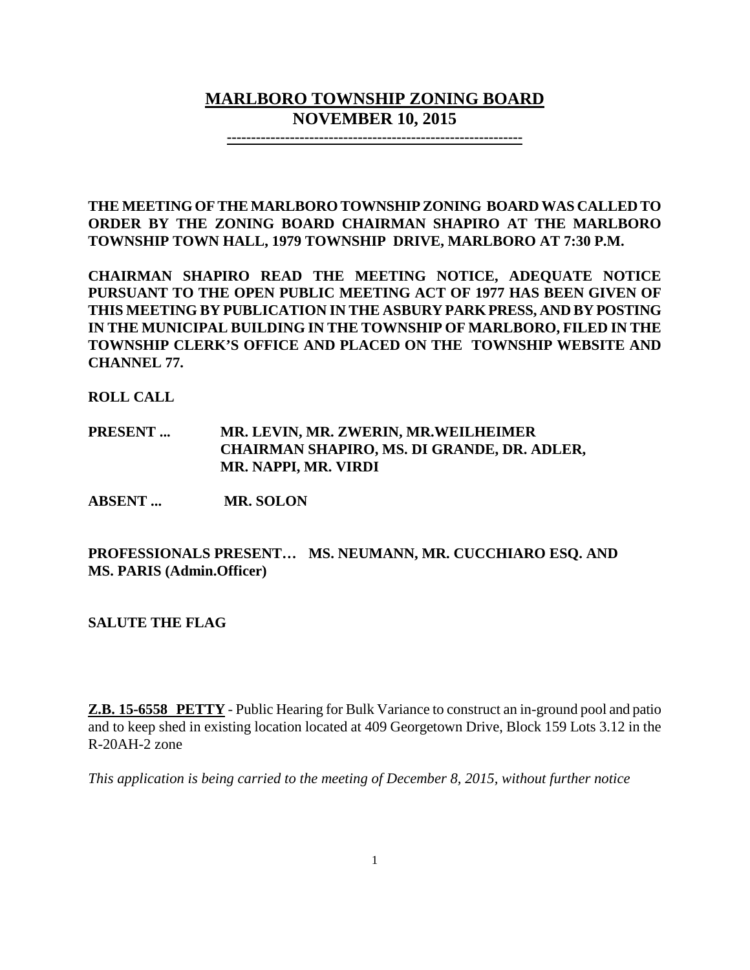# **MARLBORO TOWNSHIP ZONING BOARD NOVEMBER 10, 2015**

**-------------------------------------------------------------**

**THE MEETING OF THE MARLBORO TOWNSHIP ZONING BOARD WAS CALLED TO ORDER BY THE ZONING BOARD CHAIRMAN SHAPIRO AT THE MARLBORO TOWNSHIP TOWN HALL, 1979 TOWNSHIP DRIVE, MARLBORO AT 7:30 P.M.**

**CHAIRMAN SHAPIRO READ THE MEETING NOTICE, ADEQUATE NOTICE PURSUANT TO THE OPEN PUBLIC MEETING ACT OF 1977 HAS BEEN GIVEN OF THIS MEETING BY PUBLICATION IN THE ASBURY PARK PRESS, AND BY POSTING IN THE MUNICIPAL BUILDING IN THE TOWNSHIP OF MARLBORO, FILED IN THE TOWNSHIP CLERK'S OFFICE AND PLACED ON THE TOWNSHIP WEBSITE AND CHANNEL 77.**

**ROLL CALL**

**PRESENT ... MR. LEVIN, MR. ZWERIN, MR.WEILHEIMER CHAIRMAN SHAPIRO, MS. DI GRANDE, DR. ADLER, MR. NAPPI, MR. VIRDI**

**ABSENT ... MR. SOLON**

**PROFESSIONALS PRESENT… MS. NEUMANN, MR. CUCCHIARO ESQ. AND MS. PARIS (Admin.Officer)**

**SALUTE THE FLAG**

**Z.B. 15-6558 PETTY** - Public Hearing for Bulk Variance to construct an in-ground pool and patio and to keep shed in existing location located at 409 Georgetown Drive, Block 159 Lots 3.12 in the R-20AH-2 zone

*This application is being carried to the meeting of December 8, 2015, without further notice*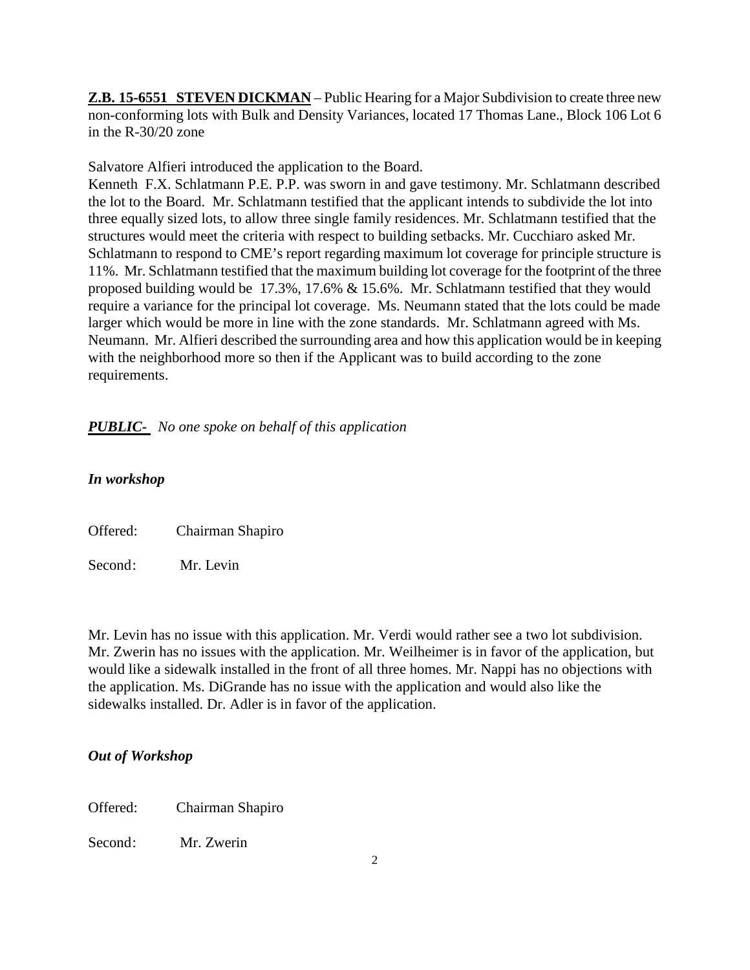**Z.B. 15-6551 STEVEN DICKMAN** – Public Hearing for a Major Subdivision to create three new non-conforming lots with Bulk and Density Variances, located 17 Thomas Lane., Block 106 Lot 6 in the R-30/20 zone

Salvatore Alfieri introduced the application to the Board.

Kenneth F.X. Schlatmann P.E. P.P. was sworn in and gave testimony. Mr. Schlatmann described the lot to the Board. Mr. Schlatmann testified that the applicant intends to subdivide the lot into three equally sized lots, to allow three single family residences. Mr. Schlatmann testified that the structures would meet the criteria with respect to building setbacks. Mr. Cucchiaro asked Mr. Schlatmann to respond to CME's report regarding maximum lot coverage for principle structure is 11%. Mr. Schlatmann testified that the maximum building lot coverage for the footprint of the three proposed building would be 17.3%, 17.6% & 15.6%. Mr. Schlatmann testified that they would require a variance for the principal lot coverage. Ms. Neumann stated that the lots could be made larger which would be more in line with the zone standards. Mr. Schlatmann agreed with Ms. Neumann. Mr. Alfieri described the surrounding area and how this application would be in keeping with the neighborhood more so then if the Applicant was to build according to the zone requirements.

# *PUBLIC- No one spoke on behalf of this application*

## *In workshop*

Offered: Chairman Shapiro

Second: Mr. Levin

Mr. Levin has no issue with this application. Mr. Verdi would rather see a two lot subdivision. Mr. Zwerin has no issues with the application. Mr. Weilheimer is in favor of the application, but would like a sidewalk installed in the front of all three homes. Mr. Nappi has no objections with the application. Ms. DiGrande has no issue with the application and would also like the sidewalks installed. Dr. Adler is in favor of the application.

## *Out of Workshop*

Offered: Chairman Shapiro

Second: Mr. Zwerin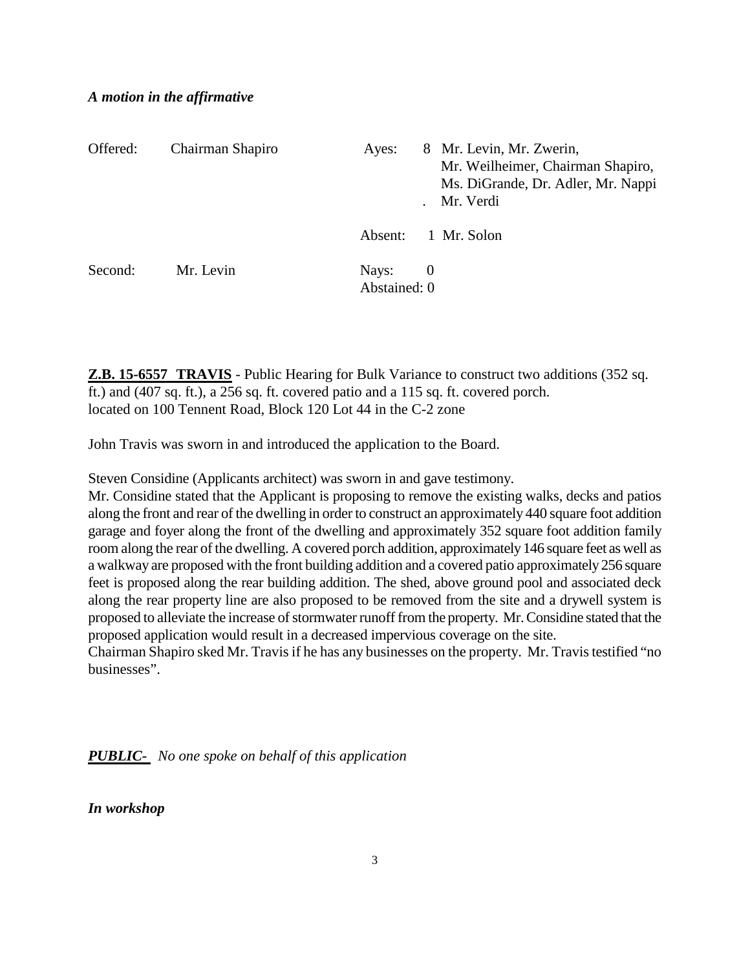#### *A motion in the affirmative*

| Offered: | Chairman Shapiro | Ayes:                 |                                  | 8 Mr. Levin, Mr. Zwerin,<br>Mr. Weilheimer, Chairman Shapiro,<br>Ms. DiGrande, Dr. Adler, Mr. Nappi<br>Mr. Verdi |
|----------|------------------|-----------------------|----------------------------------|------------------------------------------------------------------------------------------------------------------|
|          |                  | Absent:               |                                  | 1 Mr. Solon                                                                                                      |
| Second:  | Mr. Levin        | Nays:<br>Abstained: 0 | $\begin{array}{c} 0 \end{array}$ |                                                                                                                  |

**Z.B. 15-6557 TRAVIS** - Public Hearing for Bulk Variance to construct two additions (352 sq. ft.) and (407 sq. ft.), a 256 sq. ft. covered patio and a 115 sq. ft. covered porch. located on 100 Tennent Road, Block 120 Lot 44 in the C-2 zone

John Travis was sworn in and introduced the application to the Board.

Steven Considine (Applicants architect) was sworn in and gave testimony.

Mr. Considine stated that the Applicant is proposing to remove the existing walks, decks and patios along the front and rear of the dwelling in order to construct an approximately 440 square foot addition garage and foyer along the front of the dwelling and approximately 352 square foot addition family room along the rear of the dwelling. A covered porch addition, approximately 146 square feet as well as a walkway are proposed with the front building addition and a covered patio approximately 256 square feet is proposed along the rear building addition. The shed, above ground pool and associated deck along the rear property line are also proposed to be removed from the site and a drywell system is proposed to alleviate the increase of stormwater runoff from the property. Mr. Considine stated that the proposed application would result in a decreased impervious coverage on the site.

Chairman Shapiro sked Mr. Travis if he has any businesses on the property. Mr. Travis testified "no businesses".

*PUBLIC- No one spoke on behalf of this application*

*In workshop*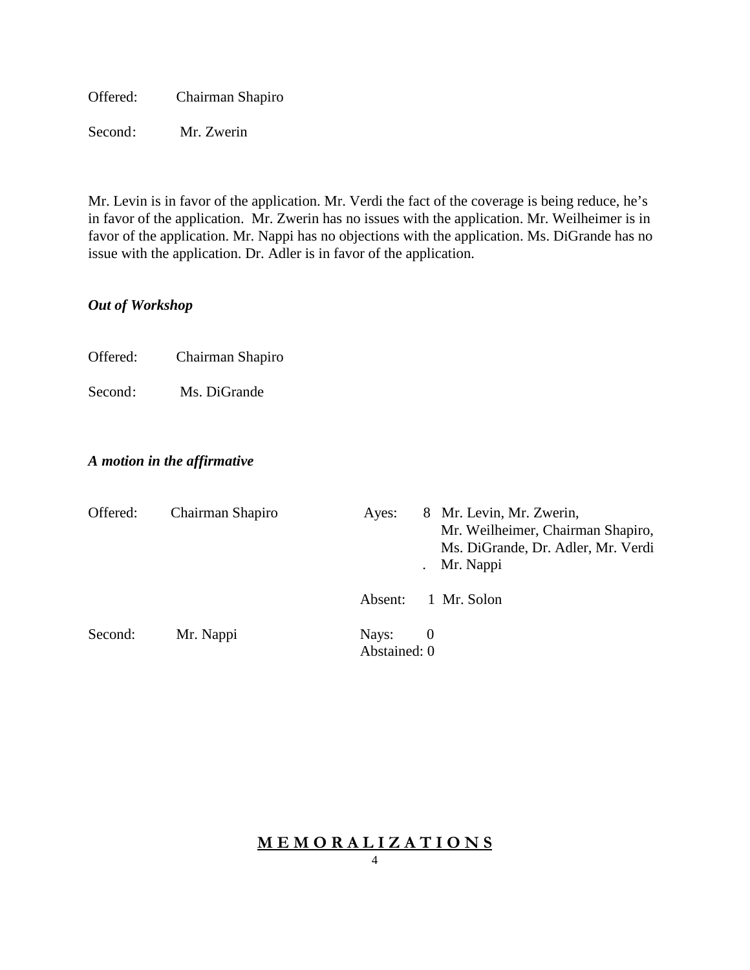Offered: Chairman Shapiro

Second: Mr. Zwerin

Mr. Levin is in favor of the application. Mr. Verdi the fact of the coverage is being reduce, he's in favor of the application. Mr. Zwerin has no issues with the application. Mr. Weilheimer is in favor of the application. Mr. Nappi has no objections with the application. Ms. DiGrande has no issue with the application. Dr. Adler is in favor of the application.

# *Out of Workshop*

Offered: Chairman Shapiro

Second: Ms. DiGrande

## *A motion in the affirmative*

| Offered: | Chairman Shapiro | 8 Mr. Levin, Mr. Zwerin,<br>Ayes:<br>Mr. Weilheimer, Chairman Shapiro,<br>Ms. DiGrande, Dr. Adler, Mr. Verdi<br>Mr. Nappi |
|----------|------------------|---------------------------------------------------------------------------------------------------------------------------|
|          |                  | Absent:<br>1 Mr. Solon                                                                                                    |
| Second:  | Mr. Nappi        | Nays:<br>- 0                                                                                                              |
|          |                  | Abstained: 0                                                                                                              |

# **M E M O R A L I Z A T I O N S**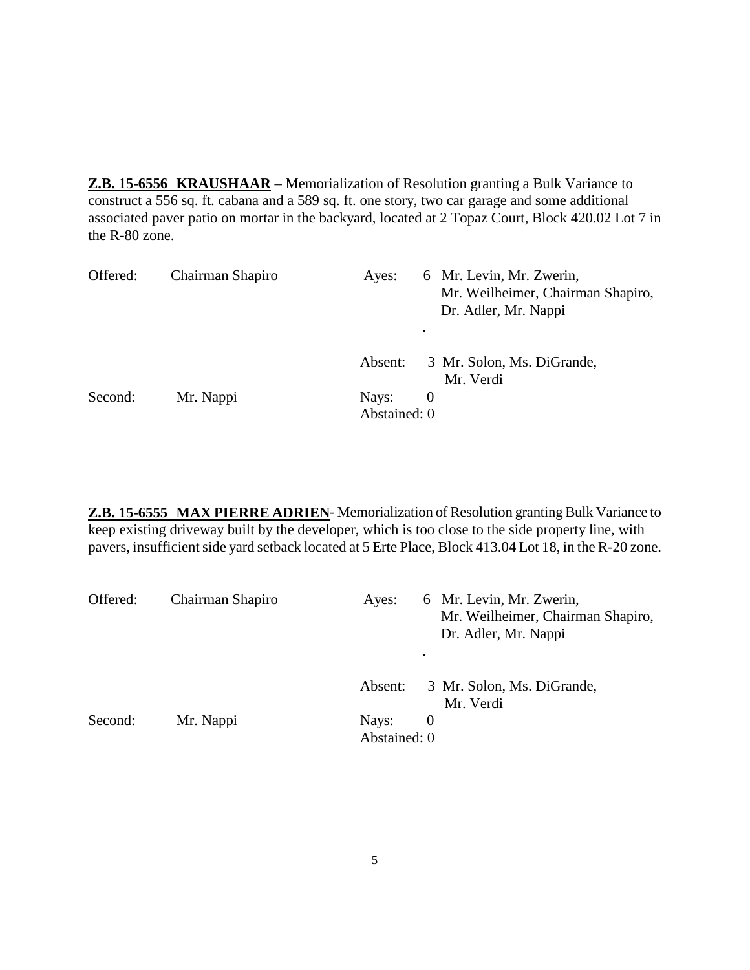**Z.B. 15-6556 KRAUSHAAR** – Memorialization of Resolution granting a Bulk Variance to construct a 556 sq. ft. cabana and a 589 sq. ft. one story, two car garage and some additional associated paver patio on mortar in the backyard, located at 2 Topaz Court, Block 420.02 Lot 7 in the R-80 zone.

| Offered: | Chairman Shapiro | Ayes:                 | 6 Mr. Levin, Mr. Zwerin,<br>Mr. Weilheimer, Chairman Shapiro,<br>Dr. Adler, Mr. Nappi<br>٠ |
|----------|------------------|-----------------------|--------------------------------------------------------------------------------------------|
|          |                  | Absent:               | 3 Mr. Solon, Ms. DiGrande,<br>Mr. Verdi                                                    |
| Second:  | Mr. Nappi        | Nays:<br>Abstained: 0 | $\theta$                                                                                   |

**Z.B. 15-6555 MAX PIERRE ADRIEN**- Memorialization of Resolution granting Bulk Variance to keep existing driveway built by the developer, which is too close to the side property line, with pavers, insufficient side yard setback located at 5 Erte Place, Block 413.04 Lot 18, in the R-20 zone.

| Offered: | Chairman Shapiro | 6 Mr. Levin, Mr. Zwerin,<br>Ayes:<br>Mr. Weilheimer, Chairman Shapiro,<br>Dr. Adler, Mr. Nappi<br>٠ |  |
|----------|------------------|-----------------------------------------------------------------------------------------------------|--|
|          |                  | 3 Mr. Solon, Ms. DiGrande,<br>Absent:<br>Mr. Verdi                                                  |  |
| Second:  | Mr. Nappi        | Nays:<br>$\theta$<br>Abstained: 0                                                                   |  |